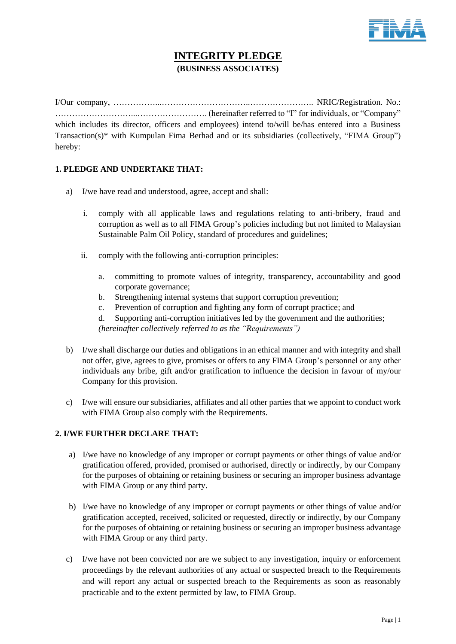

# **INTEGRITY PLEDGE (BUSINESS ASSOCIATES)**

I/Our company, ……………...…………………………..………………….. NRIC/Registration. No.: ………………………...……………………. (hereinafter referred to "I" for individuals, or "Company" which includes its director, officers and employees) intend to/will be/has entered into a Business Transaction(s)\* with Kumpulan Fima Berhad and or its subsidiaries (collectively, "FIMA Group") hereby:

## **1. PLEDGE AND UNDERTAKE THAT:**

- a) I/we have read and understood, agree, accept and shall:
	- i. comply with all applicable laws and regulations relating to anti-bribery, fraud and corruption as well as to all FIMA Group's policies including but not limited to Malaysian Sustainable Palm Oil Policy, standard of procedures and guidelines;
	- ii. comply with the following anti-corruption principles:
		- a. committing to promote values of integrity, transparency, accountability and good corporate governance;
		- b. Strengthening internal systems that support corruption prevention;
		- c. Prevention of corruption and fighting any form of corrupt practice; and
		- d. Supporting anti-corruption initiatives led by the government and the authorities;

*(hereinafter collectively referred to as the "Requirements")*

- b) I/we shall discharge our duties and obligations in an ethical manner and with integrity and shall not offer, give, agrees to give, promises or offers to any FIMA Group's personnel or any other individuals any bribe, gift and/or gratification to influence the decision in favour of my/our Company for this provision.
- c) I/we will ensure our subsidiaries, affiliates and all other parties that we appoint to conduct work with FIMA Group also comply with the Requirements.

## **2. I/WE FURTHER DECLARE THAT:**

- a) I/we have no knowledge of any improper or corrupt payments or other things of value and/or gratification offered, provided, promised or authorised, directly or indirectly, by our Company for the purposes of obtaining or retaining business or securing an improper business advantage with FIMA Group or any third party.
- b) I/we have no knowledge of any improper or corrupt payments or other things of value and/or gratification accepted, received, solicited or requested, directly or indirectly, by our Company for the purposes of obtaining or retaining business or securing an improper business advantage with FIMA Group or any third party.
- c) I/we have not been convicted nor are we subject to any investigation, inquiry or enforcement proceedings by the relevant authorities of any actual or suspected breach to the Requirements and will report any actual or suspected breach to the Requirements as soon as reasonably practicable and to the extent permitted by law, to FIMA Group.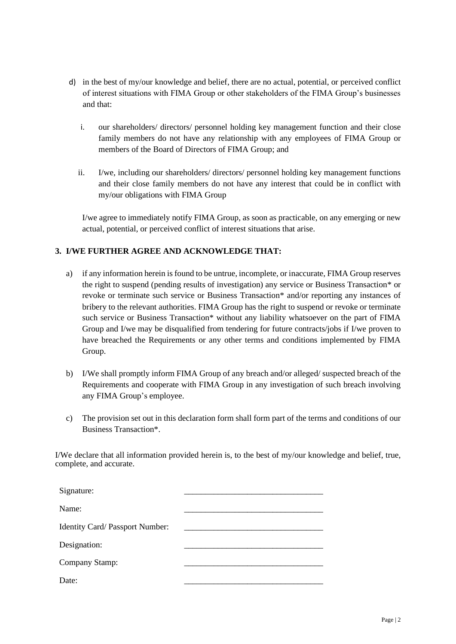- d) in the best of my/our knowledge and belief, there are no actual, potential, or perceived conflict of interest situations with FIMA Group or other stakeholders of the FIMA Group's businesses and that:
	- i. our shareholders/ directors/ personnel holding key management function and their close family members do not have any relationship with any employees of FIMA Group or members of the Board of Directors of FIMA Group; and
	- ii. I/we, including our shareholders/ directors/ personnel holding key management functions and their close family members do not have any interest that could be in conflict with my/our obligations with FIMA Group

I/we agree to immediately notify FIMA Group, as soon as practicable, on any emerging or new actual, potential, or perceived conflict of interest situations that arise.

## **3. I/WE FURTHER AGREE AND ACKNOWLEDGE THAT:**

- a) if any information herein is found to be untrue, incomplete, or inaccurate, FIMA Group reserves the right to suspend (pending results of investigation) any service or Business Transaction\* or revoke or terminate such service or Business Transaction\* and/or reporting any instances of bribery to the relevant authorities. FIMA Group has the right to suspend or revoke or terminate such service or Business Transaction\* without any liability whatsoever on the part of FIMA Group and I/we may be disqualified from tendering for future contracts/jobs if I/we proven to have breached the Requirements or any other terms and conditions implemented by FIMA Group.
- b) I/We shall promptly inform FIMA Group of any breach and/or alleged/ suspected breach of the Requirements and cooperate with FIMA Group in any investigation of such breach involving any FIMA Group's employee.
- c) The provision set out in this declaration form shall form part of the terms and conditions of our Business Transaction\*.

I/We declare that all information provided herein is, to the best of my/our knowledge and belief, true, complete, and accurate.

| Signature:                      |  |
|---------------------------------|--|
| Name:                           |  |
| Identity Card/ Passport Number: |  |
| Designation:                    |  |
| Company Stamp:                  |  |
| Date:                           |  |